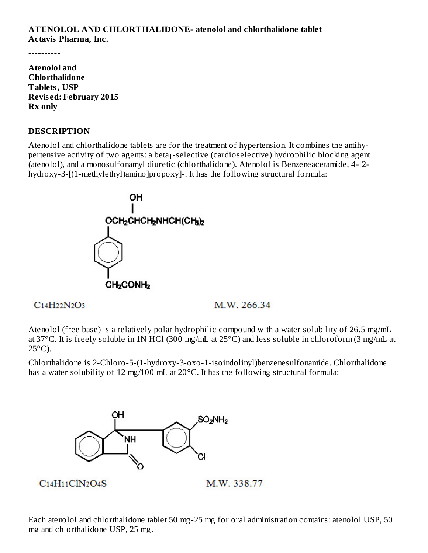#### **ATENOLOL AND CHLORTHALIDONE- atenolol and chlorthalidone tablet Actavis Pharma, Inc.**

----------

**Atenolol and Chlorthalidone Tablets, USP Revis ed: February 2015 Rx only**

#### **DESCRIPTION**

Atenolol and chlorthalidone tablets are for the treatment of hypertension. It combines the antihypertensive activity of two agents: a beta<sub>1</sub>-selective (cardioselective) hydrophilic blocking agent (atenolol), and a monosulfonamyl diuretic (chlorthalidone). Atenolol is Benzeneacetamide, 4-[2 hydroxy-3-[(1-methylethyl)amino]propoxy]-. It has the following structural formula:



# $C<sub>14</sub>H<sub>22</sub>N<sub>2</sub>O<sub>3</sub>$

#### M.W. 266.34

Atenolol (free base) is a relatively polar hydrophilic compound with a water solubility of 26.5 mg/mL at 37°C. It is freely soluble in 1N HCl (300 mg/mL at 25°C) and less soluble in chloroform (3 mg/mL at  $25^{\circ}$ C).

Chlorthalidone is 2-Chloro-5-(1-hydroxy-3-oxo-1-isoindolinyl)benzenesulfonamide. Chlorthalidone has a water solubility of 12 mg/100 mL at 20°C. It has the following structural formula:



Each atenolol and chlorthalidone tablet 50 mg-25 mg for oral administration contains: atenolol USP, 50 mg and chlorthalidone USP, 25 mg.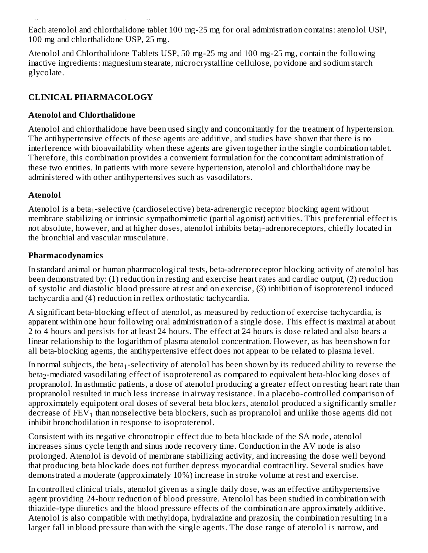Each atenolol and chlorthalidone tablet 100 mg-25 mg for oral administration contains: atenolol USP, 100 mg and chlorthalidone USP, 25 mg.

Atenolol and Chlorthalidone Tablets USP, 50 mg-25 mg and 100 mg-25 mg, contain the following inactive ingredients: magnesium stearate, microcrystalline cellulose, povidone and sodium starch glycolate.

# **CLINICAL PHARMACOLOGY**

mg and chlorthalidone USP, 25 mg.

### **Atenolol and Chlorthalidone**

Atenolol and chlorthalidone have been used singly and concomitantly for the treatment of hypertension. The antihypertensive effects of these agents are additive, and studies have shown that there is no interference with bioavailability when these agents are given together in the single combination tablet. Therefore, this combination provides a convenient formulation for the concomitant administration of these two entities. In patients with more severe hypertension, atenolol and chlorthalidone may be administered with other antihypertensives such as vasodilators.

### **Atenolol**

Atenolol is a beta $_1$ -selective (cardioselective) beta-adrenergic receptor blocking agent without membrane stabilizing or intrinsic sympathomimetic (partial agonist) activities. This preferential effect is not absolute, however, and at higher doses, atenolol inhibits beta $_2$ -adrenoreceptors, chiefly located in the bronchial and vascular musculature.

### **Pharmacodynamics**

In standard animal or human pharmacological tests, beta-adrenoreceptor blocking activity of atenolol has been demonstrated by: (1) reduction in resting and exercise heart rates and cardiac output, (2) reduction of systolic and diastolic blood pressure at rest and on exercise, (3) inhibition of isoproterenol induced tachycardia and (4) reduction in reflex orthostatic tachycardia.

A significant beta-blocking effect of atenolol, as measured by reduction of exercise tachycardia, is apparent within one hour following oral administration of a single dose. This effect is maximal at about 2 to 4 hours and persists for at least 24 hours. The effect at 24 hours is dose related and also bears a linear relationship to the logarithm of plasma atenolol concentration. However, as has been shown for all beta-blocking agents, the antihypertensive effect does not appear to be related to plasma level.

In normal subjects, the beta $_1$ -selectivity of atenolol has been shown by its reduced ability to reverse the beta $_2$ -mediated vasodilating effect of isoproterenol as compared to equivalent beta-blocking doses of propranolol. In asthmatic patients, a dose of atenolol producing a greater effect on resting heart rate than propranolol resulted in much less increase in airway resistance. In a placebo-controlled comparison of approximately equipotent oral doses of several beta blockers, atenolol produced a significantly smaller decrease of  $\text{FEV}_1$  than nonselective beta blockers, such as propranolol and unlike those agents did not inhibit bronchodilation in response to isoproterenol.

Consistent with its negative chronotropic effect due to beta blockade of the SA node, atenolol increases sinus cycle length and sinus node recovery time. Conduction in the AV node is also prolonged. Atenolol is devoid of membrane stabilizing activity, and increasing the dose well beyond that producing beta blockade does not further depress myocardial contractility. Several studies have demonstrated a moderate (approximately 10%) increase in stroke volume at rest and exercise.

In controlled clinical trials, atenolol given as a single daily dose, was an effective antihypertensive agent providing 24-hour reduction of blood pressure. Atenolol has been studied in combination with thiazide-type diuretics and the blood pressure effects of the combination are approximately additive. Atenolol is also compatible with methyldopa, hydralazine and prazosin, the combination resulting in a larger fall in blood pressure than with the single agents. The dose range of atenolol is narrow, and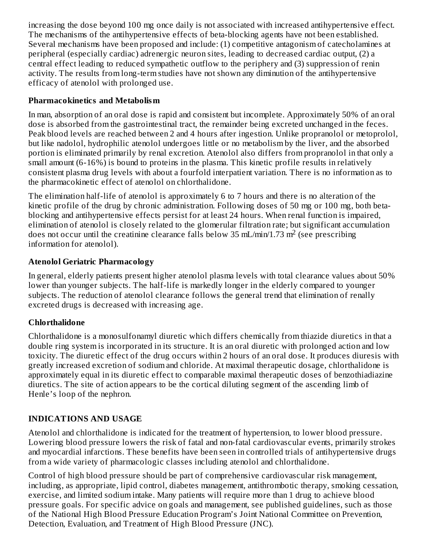increasing the dose beyond 100 mg once daily is not associated with increased antihypertensive effect. The mechanisms of the antihypertensive effects of beta-blocking agents have not been established. Several mechanisms have been proposed and include: (1) competitive antagonism of catecholamines at peripheral (especially cardiac) adrenergic neuron sites, leading to decreased cardiac output, (2) a central effect leading to reduced sympathetic outflow to the periphery and (3) suppression of renin activity. The results from long-term studies have not shown any diminution of the antihypertensive efficacy of atenolol with prolonged use.

# **Pharmacokinetics and Metabolism**

In man, absorption of an oral dose is rapid and consistent but incomplete. Approximately 50% of an oral dose is absorbed from the gastrointestinal tract, the remainder being excreted unchanged in the feces. Peak blood levels are reached between 2 and 4 hours after ingestion. Unlike propranolol or metoprolol, but like nadolol, hydrophilic atenolol undergoes little or no metabolism by the liver, and the absorbed portion is eliminated primarily by renal excretion. Atenolol also differs from propranolol in that only a small amount (6-16%) is bound to proteins in the plasma. This kinetic profile results in relatively consistent plasma drug levels with about a fourfold interpatient variation. There is no information as to the pharmacokinetic effect of atenolol on chlorthalidone.

The elimination half-life of atenolol is approximately 6 to 7 hours and there is no alteration of the kinetic profile of the drug by chronic administration. Following doses of 50 mg or 100 mg, both betablocking and antihypertensive effects persist for at least 24 hours. When renal function is impaired, elimination of atenolol is closely related to the glomerular filtration rate; but significant accumulation does not occur until the creatinine clearance falls below 35 mL/min/1.73 m<sup>2</sup> (see prescribing information for atenolol).

# **Atenolol Geriatric Pharmacology**

In general, elderly patients present higher atenolol plasma levels with total clearance values about 50% lower than younger subjects. The half-life is markedly longer in the elderly compared to younger subjects. The reduction of atenolol clearance follows the general trend that elimination of renally excreted drugs is decreased with increasing age.

# **Chlorthalidone**

Chlorthalidone is a monosulfonamyl diuretic which differs chemically from thiazide diuretics in that a double ring system is incorporated in its structure. It is an oral diuretic with prolonged action and low toxicity. The diuretic effect of the drug occurs within 2 hours of an oral dose. It produces diuresis with greatly increased excretion of sodium and chloride. At maximal therapeutic dosage, chlorthalidone is approximately equal in its diuretic effect to comparable maximal therapeutic doses of benzothiadiazine diuretics. The site of action appears to be the cortical diluting segment of the ascending limb of Henle's loop of the nephron.

# **INDICATIONS AND USAGE**

Atenolol and chlorthalidone is indicated for the treatment of hypertension, to lower blood pressure. Lowering blood pressure lowers the risk of fatal and non-fatal cardiovascular events, primarily strokes and myocardial infarctions. These benefits have been seen in controlled trials of antihypertensive drugs from a wide variety of pharmacologic classes including atenolol and chlorthalidone.

Control of high blood pressure should be part of comprehensive cardiovascular risk management, including, as appropriate, lipid control, diabetes management, antithrombotic therapy, smoking cessation, exercise, and limited sodium intake. Many patients will require more than 1 drug to achieve blood pressure goals. For specific advice on goals and management, see published guidelines, such as those of the National High Blood Pressure Education Program's Joint National Committee on Prevention, Detection, Evaluation, and Treatment of High Blood Pressure (JNC).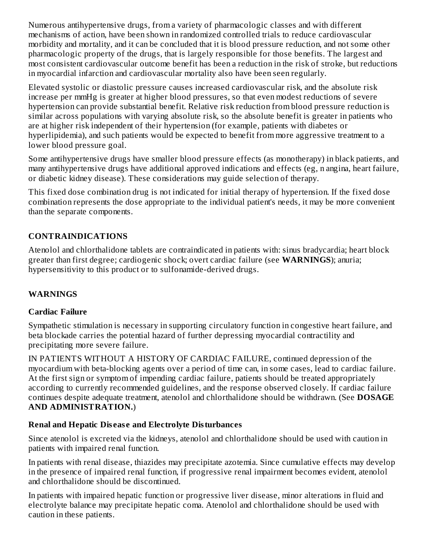Numerous antihypertensive drugs, from a variety of pharmacologic classes and with different mechanisms of action, have been shown in randomized controlled trials to reduce cardiovascular morbidity and mortality, and it can be concluded that it is blood pressure reduction, and not some other pharmacologic property of the drugs, that is largely responsible for those benefits. The largest and most consistent cardiovascular outcome benefit has been a reduction in the risk of stroke, but reductions in myocardial infarction and cardiovascular mortality also have been seen regularly.

Elevated systolic or diastolic pressure causes increased cardiovascular risk, and the absolute risk increase per mmHg is greater at higher blood pressures, so that even modest reductions of severe hypertension can provide substantial benefit. Relative risk reduction from blood pressure reduction is similar across populations with varying absolute risk, so the absolute benefit is greater in patients who are at higher risk independent of their hypertension (for example, patients with diabetes or hyperlipidemia), and such patients would be expected to benefit from more aggressive treatment to a lower blood pressure goal.

Some antihypertensive drugs have smaller blood pressure effects (as monotherapy) in black patients, and many antihypertensive drugs have additional approved indications and effects (eg, n angina, heart failure, or diabetic kidney disease). These considerations may guide selection of therapy.

This fixed dose combination drug is not indicated for initial therapy of hypertension. If the fixed dose combination represents the dose appropriate to the individual patient's needs, it may be more convenient than the separate components.

# **CONTRAINDICATIONS**

Atenolol and chlorthalidone tablets are contraindicated in patients with: sinus bradycardia; heart block greater than first degree; cardiogenic shock; overt cardiac failure (see **WARNINGS**); anuria; hypersensitivity to this product or to sulfonamide-derived drugs.

# **WARNINGS**

# **Cardiac Failure**

Sympathetic stimulation is necessary in supporting circulatory function in congestive heart failure, and beta blockade carries the potential hazard of further depressing myocardial contractility and precipitating more severe failure.

IN PATIENTS WITHOUT A HISTORY OF CARDIAC FAILURE, continued depression of the myocardium with beta-blocking agents over a period of time can, in some cases, lead to cardiac failure. At the first sign or symptom of impending cardiac failure, patients should be treated appropriately according to currently recommended guidelines, and the response observed closely. If cardiac failure continues despite adequate treatment, atenolol and chlorthalidone should be withdrawn. (See **DOSAGE AND ADMINISTRATION.**)

# **Renal and Hepatic Dis eas e and Electrolyte Disturbances**

Since atenolol is excreted via the kidneys, atenolol and chlorthalidone should be used with caution in patients with impaired renal function.

In patients with renal disease, thiazides may precipitate azotemia. Since cumulative effects may develop in the presence of impaired renal function, if progressive renal impairment becomes evident, atenolol and chlorthalidone should be discontinued.

In patients with impaired hepatic function or progressive liver disease, minor alterations in fluid and electrolyte balance may precipitate hepatic coma. Atenolol and chlorthalidone should be used with caution in these patients.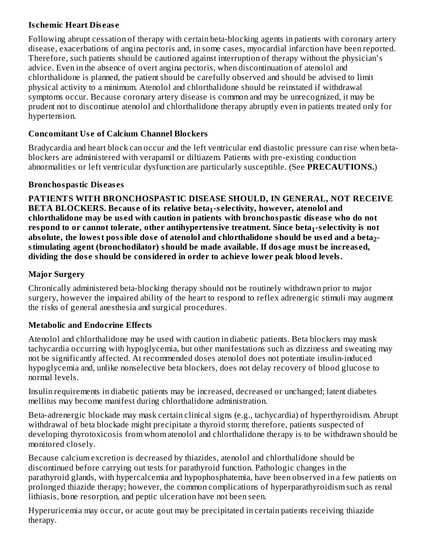### **Is chemic Heart Dis eas e**

Following abrupt cessation of therapy with certain beta-blocking agents in patients with coronary artery disease, exacerbations of angina pectoris and, in some cases, myocardial infarction have been reported. Therefore, such patients should be cautioned against interruption of therapy without the physician's advice. Even in the absence of overt angina pectoris, when discontinuation of atenolol and chlorthalidone is planned, the patient should be carefully observed and should be advised to limit physical activity to a minimum. Atenolol and chlorthalidone should be reinstated if withdrawal symptoms occur. Because coronary artery disease is common and may be unrecognized, it may be prudent not to discontinue atenolol and chlorthalidone therapy abruptly even in patients treated only for hypertension.

# **Concomitant Us e of Calcium Channel Blockers**

Bradycardia and heart block can occur and the left ventricular end diastolic pressure can rise when betablockers are administered with verapamil or diltiazem. Patients with pre-existing conduction abnormalities or left ventricular dysfunction are particularly susceptible. (See **PRECAUTIONS.**)

### **Bronchospastic Dis eas es**

**PATIENTS WITH BRONCHOSPASTIC DISEASE SHOULD, IN GENERAL, NOT RECEIVE** BETA BLOCKERS. Because of its relative beta<sub>1</sub>-selectivity, however, atenolol and **chlorthalidone may be us ed with caution in patients with bronchospastic dis eas e who do not respond to or cannot tolerate, other antihypertensive treatment. Since beta -s electivity is not 1** absolute, the lowest possible dose of atenolol and chlorthalidone should be used and a beta $_{\rm 2}$ **stimulating agent (bronchodilator) should be made available. If dosage must be increas ed, dividing the dos e should be considered in order to achieve lower peak blood levels.**

# **Major Surgery**

Chronically administered beta-blocking therapy should not be routinely withdrawn prior to major surgery, however the impaired ability of the heart to respond to reflex adrenergic stimuli may augment the risks of general anesthesia and surgical procedures.

# **Metabolic and Endocrine Effects**

Atenolol and chlorthalidone may be used with caution in diabetic patients. Beta blockers may mask tachycardia occurring with hypoglycemia, but other manifestations such as dizziness and sweating may not be significantly affected. At recommended doses atenolol does not potentiate insulin-induced hypoglycemia and, unlike nonselective beta blockers, does not delay recovery of blood glucose to normal levels.

Insulin requirements in diabetic patients may be increased, decreased or unchanged; latent diabetes mellitus may become manifest during chlorthalidone administration.

Beta-adrenergic blockade may mask certain clinical signs (e.g., tachycardia) of hyperthyroidism. Abrupt withdrawal of beta blockade might precipitate a thyroid storm; therefore, patients suspected of developing thyrotoxicosis from whom atenolol and chlorthalidone therapy is to be withdrawn should be monitored closely.

Because calcium excretion is decreased by thiazides, atenolol and chlorthalidone should be discontinued before carrying out tests for parathyroid function. Pathologic changes in the parathyroid glands, with hypercalcemia and hypophosphatemia, have been observed in a few patients on prolonged thiazide therapy; however, the common complications of hyperparathyroidism such as renal lithiasis, bone resorption, and peptic ulceration have not been seen.

Hyperuricemia may occur, or acute gout may be precipitated in certain patients receiving thiazide therapy.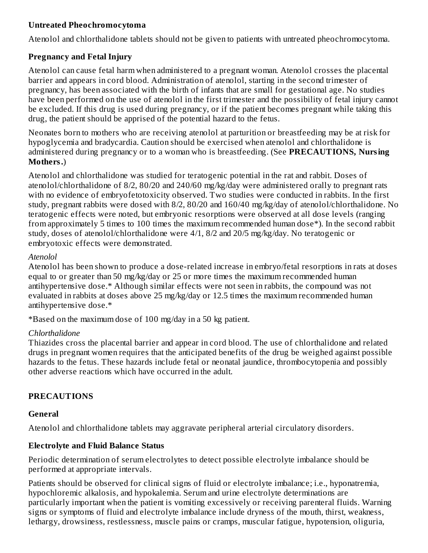### **Untreated Pheochromocytoma**

Atenolol and chlorthalidone tablets should not be given to patients with untreated pheochromocytoma.

### **Pregnancy and Fetal Injury**

Atenolol can cause fetal harm when administered to a pregnant woman. Atenolol crosses the placental barrier and appears in cord blood. Administration of atenolol, starting in the second trimester of pregnancy, has been associated with the birth of infants that are small for gestational age. No studies have been performed on the use of atenolol in the first trimester and the possibility of fetal injury cannot be excluded. If this drug is used during pregnancy, or if the patient becomes pregnant while taking this drug, the patient should be apprised of the potential hazard to the fetus.

Neonates born to mothers who are receiving atenolol at parturition or breastfeeding may be at risk for hypoglycemia and bradycardia. Caution should be exercised when atenolol and chlorthalidone is administered during pregnancy or to a woman who is breastfeeding. (See **PRECAUTIONS, Nursing Mothers.**)

Atenolol and chlorthalidone was studied for teratogenic potential in the rat and rabbit. Doses of atenolol/chlorthalidone of 8/2, 80/20 and 240/60 mg/kg/day were administered orally to pregnant rats with no evidence of embryofetotoxicity observed. Two studies were conducted in rabbits. In the first study, pregnant rabbits were dosed with 8/2, 80/20 and 160/40 mg/kg/day of atenolol/chlorthalidone. No teratogenic effects were noted, but embryonic resorptions were observed at all dose levels (ranging from approximately 5 times to 100 times the maximum recommended human dose\*). In the second rabbit study, doses of atenolol/chlorthalidone were 4/1, 8/2 and 20/5 mg/kg/day. No teratogenic or embryotoxic effects were demonstrated.

#### *Atenolol*

Atenolol has been shown to produce a dose-related increase in embryo/fetal resorptions in rats at doses equal to or greater than 50 mg/kg/day or 25 or more times the maximum recommended human antihypertensive dose.\* Although similar effects were not seen in rabbits, the compound was not evaluated in rabbits at doses above 25 mg/kg/day or 12.5 times the maximum recommended human antihypertensive dose.\*

\*Based on the maximum dose of 100 mg/day in a 50 kg patient.

# *Chlorthalidone*

Thiazides cross the placental barrier and appear in cord blood. The use of chlorthalidone and related drugs in pregnant women requires that the anticipated benefits of the drug be weighed against possible hazards to the fetus. These hazards include fetal or neonatal jaundice, thrombocytopenia and possibly other adverse reactions which have occurred in the adult.

# **PRECAUTIONS**

# **General**

Atenolol and chlorthalidone tablets may aggravate peripheral arterial circulatory disorders.

# **Electrolyte and Fluid Balance Status**

Periodic determination of serum electrolytes to detect possible electrolyte imbalance should be performed at appropriate intervals.

Patients should be observed for clinical signs of fluid or electrolyte imbalance; i.e., hyponatremia, hypochloremic alkalosis, and hypokalemia. Serum and urine electrolyte determinations are particularly important when the patient is vomiting excessively or receiving parenteral fluids. Warning signs or symptoms of fluid and electrolyte imbalance include dryness of the mouth, thirst, weakness, lethargy, drowsiness, restlessness, muscle pains or cramps, muscular fatigue, hypotension, oliguria,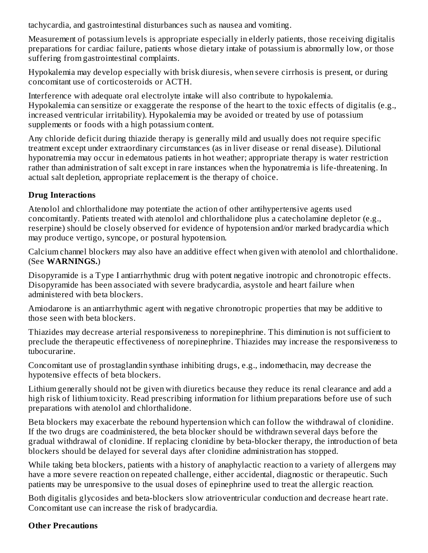tachycardia, and gastrointestinal disturbances such as nausea and vomiting.

Measurement of potassium levels is appropriate especially in elderly patients, those receiving digitalis preparations for cardiac failure, patients whose dietary intake of potassium is abnormally low, or those suffering from gastrointestinal complaints.

Hypokalemia may develop especially with brisk diuresis, when severe cirrhosis is present, or during concomitant use of corticosteroids or ACTH.

Interference with adequate oral electrolyte intake will also contribute to hypokalemia. Hypokalemia can sensitize or exaggerate the response of the heart to the toxic effects of digitalis (e.g., increased ventricular irritability). Hypokalemia may be avoided or treated by use of potassium supplements or foods with a high potassium content.

Any chloride deficit during thiazide therapy is generally mild and usually does not require specific treatment except under extraordinary circumstances (as in liver disease or renal disease). Dilutional hyponatremia may occur in edematous patients in hot weather; appropriate therapy is water restriction rather than administration of salt except in rare instances when the hyponatremia is life-threatening. In actual salt depletion, appropriate replacement is the therapy of choice.

### **Drug Interactions**

Atenolol and chlorthalidone may potentiate the action of other antihypertensive agents used concomitantly. Patients treated with atenolol and chlorthalidone plus a catecholamine depletor (e.g., reserpine) should be closely observed for evidence of hypotension and/or marked bradycardia which may produce vertigo, syncope, or postural hypotension.

Calcium channel blockers may also have an additive effect when given with atenolol and chlorthalidone. (See **WARNINGS.**)

Disopyramide is a Type I antiarrhythmic drug with potent negative inotropic and chronotropic effects. Disopyramide has been associated with severe bradycardia, asystole and heart failure when administered with beta blockers.

Amiodarone is an antiarrhythmic agent with negative chronotropic properties that may be additive to those seen with beta blockers.

Thiazides may decrease arterial responsiveness to norepinephrine. This diminution is not sufficient to preclude the therapeutic effectiveness of norepinephrine. Thiazides may increase the responsiveness to tubocurarine.

Concomitant use of prostaglandin synthase inhibiting drugs, e.g., indomethacin, may decrease the hypotensive effects of beta blockers.

Lithium generally should not be given with diuretics because they reduce its renal clearance and add a high risk of lithium toxicity. Read prescribing information for lithium preparations before use of such preparations with atenolol and chlorthalidone.

Beta blockers may exacerbate the rebound hypertension which can follow the withdrawal of clonidine. If the two drugs are coadministered, the beta blocker should be withdrawn several days before the gradual withdrawal of clonidine. If replacing clonidine by beta-blocker therapy, the introduction of beta blockers should be delayed for several days after clonidine administration has stopped.

While taking beta blockers, patients with a history of anaphylactic reaction to a variety of allergens may have a more severe reaction on repeated challenge, either accidental, diagnostic or therapeutic. Such patients may be unresponsive to the usual doses of epinephrine used to treat the allergic reaction.

Both digitalis glycosides and beta-blockers slow atrioventricular conduction and decrease heart rate. Concomitant use can increase the risk of bradycardia.

#### **Other Precautions**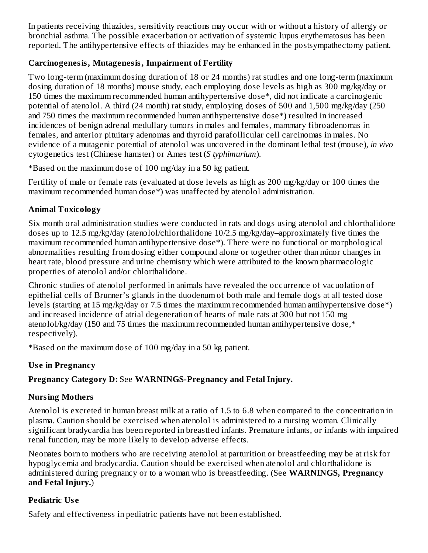In patients receiving thiazides, sensitivity reactions may occur with or without a history of allergy or bronchial asthma. The possible exacerbation or activation of systemic lupus erythematosus has been reported. The antihypertensive effects of thiazides may be enhanced in the postsympathectomy patient.

# **Carcinogenesis, Mutagenesis, Impairment of Fertility**

Two long-term (maximum dosing duration of 18 or 24 months) rat studies and one long-term (maximum dosing duration of 18 months) mouse study, each employing dose levels as high as 300 mg/kg/day or 150 times the maximum recommended human antihypertensive dose\*, did not indicate a carcinogenic potential of atenolol. A third (24 month) rat study, employing doses of 500 and 1,500 mg/kg/day (250 and 750 times the maximum recommended human antihypertensive dose\*) resulted in increased incidences of benign adrenal medullary tumors in males and females, mammary fibroadenomas in females, and anterior pituitary adenomas and thyroid parafollicular cell carcinomas in males. No evidence of a mutagenic potential of atenolol was uncovered in the dominant lethal test (mouse), *in vivo* cytogenetics test (Chinese hamster) or Ames test (*S typhimurium*).

\*Based on the maximum dose of 100 mg/day in a 50 kg patient.

Fertility of male or female rats (evaluated at dose levels as high as 200 mg/kg/day or 100 times the maximum recommended human dose\*) was unaffected by atenolol administration.

# **Animal Toxicology**

Six month oral administration studies were conducted in rats and dogs using atenolol and chlorthalidone doses up to 12.5 mg/kg/day (atenolol/chlorthalidone 10/2.5 mg/kg/day–approximately five times the maximum recommended human antihypertensive dose\*). There were no functional or morphological abnormalities resulting from dosing either compound alone or together other than minor changes in heart rate, blood pressure and urine chemistry which were attributed to the known pharmacologic properties of atenolol and/or chlorthalidone.

Chronic studies of atenolol performed in animals have revealed the occurrence of vacuolation of epithelial cells of Brunner's glands in the duodenum of both male and female dogs at all tested dose levels (starting at 15 mg/kg/day or 7.5 times the maximum recommended human antihypertensive dose\*) and increased incidence of atrial degeneration of hearts of male rats at 300 but not 150 mg atenolol/kg/day (150 and 75 times the maximum recommended human antihypertensive dose,\* respectively).

\*Based on the maximum dose of 100 mg/day in a 50 kg patient.

# **Us e in Pregnancy**

# **Pregnancy Category D:** See **WARNINGS-Pregnancy and Fetal Injury.**

# **Nursing Mothers**

Atenolol is excreted in human breast milk at a ratio of 1.5 to 6.8 when compared to the concentration in plasma. Caution should be exercised when atenolol is administered to a nursing woman. Clinically significant bradycardia has been reported in breastfed infants. Premature infants, or infants with impaired renal function, may be more likely to develop adverse effects.

Neonates born to mothers who are receiving atenolol at parturition or breastfeeding may be at risk for hypoglycemia and bradycardia. Caution should be exercised when atenolol and chlorthalidone is administered during pregnancy or to a woman who is breastfeeding. (See **WARNINGS, Pregnancy and Fetal Injury.**)

# **Pediatric Us e**

Safety and effectiveness in pediatric patients have not been established.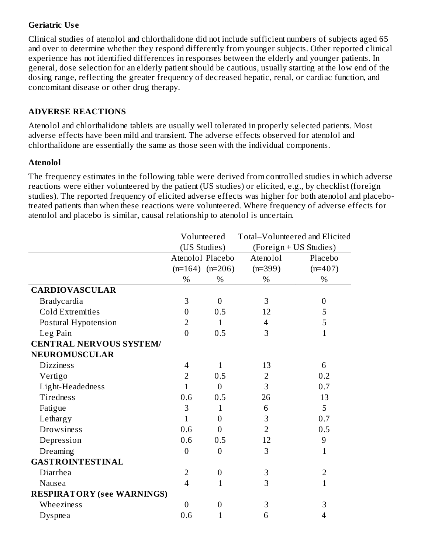### **Geriatric Us e**

Clinical studies of atenolol and chlorthalidone did not include sufficient numbers of subjects aged 65 and over to determine whether they respond differently from younger subjects. Other reported clinical experience has not identified differences in responses between the elderly and younger patients. In general, dose selection for an elderly patient should be cautious, usually starting at the low end of the dosing range, reflecting the greater frequency of decreased hepatic, renal, or cardiac function, and concomitant disease or other drug therapy.

### **ADVERSE REACTIONS**

Atenolol and chlorthalidone tablets are usually well tolerated in properly selected patients. Most adverse effects have been mild and transient. The adverse effects observed for atenolol and chlorthalidone are essentially the same as those seen with the individual components.

### **Atenolol**

The frequency estimates in the following table were derived from controlled studies in which adverse reactions were either volunteered by the patient (US studies) or elicited, e.g., by checklist (foreign studies). The reported frequency of elicited adverse effects was higher for both atenolol and placebotreated patients than when these reactions were volunteered. Where frequency of adverse effects for atenolol and placebo is similar, causal relationship to atenolol is uncertain.

|                                   | Volunteered      |                     | Total-Volunteered and Elicited |                  |
|-----------------------------------|------------------|---------------------|--------------------------------|------------------|
|                                   | (US Studies)     |                     | (Foreign + US Studies)         |                  |
|                                   | Atenolol Placebo |                     | Atenolol                       | Placebo          |
|                                   |                  | $(n=164)$ $(n=206)$ | $(n=399)$                      | $(n=407)$        |
|                                   | $\%$             | $\%$                | $\%$                           | $\%$             |
| <b>CARDIOVASCULAR</b>             |                  |                     |                                |                  |
| <b>Bradycardia</b>                | 3                | $\overline{0}$      | 3                              | $\boldsymbol{0}$ |
| <b>Cold Extremities</b>           | $\overline{0}$   | 0.5                 | 12                             | 5                |
| Postural Hypotension              | 2                | $\mathbf{1}$        | 4                              | 5                |
| Leg Pain                          | $\overline{0}$   | 0.5                 | 3                              | $\mathbf{1}$     |
| <b>CENTRAL NERVOUS SYSTEM/</b>    |                  |                     |                                |                  |
| <b>NEUROMUSCULAR</b>              |                  |                     |                                |                  |
| <b>Dizziness</b>                  | 4                | $\mathbf{1}$        | 13                             | 6                |
| Vertigo                           | $\overline{2}$   | 0.5                 | 2                              | 0.2              |
| Light-Headedness                  | $\overline{1}$   | $\theta$            | 3                              | 0.7              |
| <b>Tiredness</b>                  | 0.6              | 0.5                 | 26                             | 13               |
| Fatigue                           | 3                | $\mathbf{1}$        | 6                              | 5                |
| Lethargy                          | $\mathbf{1}$     | $\overline{0}$      | 3                              | 0.7              |
| <b>Drowsiness</b>                 | 0.6              | $\Omega$            | $\overline{2}$                 | 0.5              |
| Depression                        | 0.6              | 0.5                 | 12                             | 9                |
| Dreaming                          | $\overline{0}$   | $\overline{0}$      | 3                              | $\mathbf{1}$     |
| <b>GASTROINTESTINAL</b>           |                  |                     |                                |                  |
| Diarrhea                          | $\overline{2}$   | $\boldsymbol{0}$    | 3                              | $\overline{2}$   |
| Nausea                            | $\overline{4}$   | $\mathbf{1}$        | 3                              | $\mathbf{1}$     |
| <b>RESPIRATORY (see WARNINGS)</b> |                  |                     |                                |                  |
| Wheeziness                        | $\overline{0}$   | $\boldsymbol{0}$    | 3                              | 3                |
| Dyspnea                           | 0.6              | $\mathbf 1$         | 6                              | $\overline{4}$   |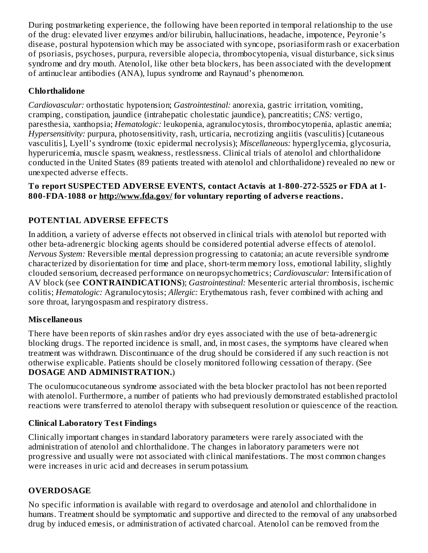During postmarketing experience, the following have been reported in temporal relationship to the use of the drug: elevated liver enzymes and/or bilirubin, hallucinations, headache, impotence, Peyronie's disease, postural hypotension which may be associated with syncope, psoriasiform rash or exacerbation of psoriasis, psychoses, purpura, reversible alopecia, thrombocytopenia, visual disturbance, sick sinus syndrome and dry mouth. Atenolol, like other beta blockers, has been associated with the development of antinuclear antibodies (ANA), lupus syndrome and Raynaud's phenomenon.

### **Chlorthalidone**

*Cardiovascular:* orthostatic hypotension; *Gastrointestinal:* anorexia, gastric irritation, vomiting, cramping, constipation, jaundice (intrahepatic cholestatic jaundice), pancreatitis; *CNS:* vertigo, paresthesia, xanthopsia; *Hematologic:* leukopenia, agranulocytosis, thrombocytopenia, aplastic anemia; *Hypersensitivity:* purpura, photosensitivity, rash, urticaria, necrotizing angiitis (vasculitis) [cutaneous vasculitis], Lyell's syndrome (toxic epidermal necrolysis); *Miscellaneous:* hyperglycemia, glycosuria, hyperuricemia, muscle spasm, weakness, restlessness. Clinical trials of atenolol and chlorthalidone conducted in the United States (89 patients treated with atenolol and chlorthalidone) revealed no new or unexpected adverse effects.

#### **To report SUSPECTED ADVERSE EVENTS, contact Actavis at 1-800-272-5525 or FDA at 1- 800-FDA-1088 or http://www.fda.gov/ for voluntary reporting of advers e reactions.**

# **POTENTIAL ADVERSE EFFECTS**

In addition, a variety of adverse effects not observed in clinical trials with atenolol but reported with other beta-adrenergic blocking agents should be considered potential adverse effects of atenolol. *Nervous System:* Reversible mental depression progressing to catatonia; an acute reversible syndrome characterized by disorientation for time and place, short-term memory loss, emotional lability, slightly clouded sensorium, decreased performance on neuropsychometrics; *Cardiovascular:* Intensification of AV block (see **CONTRAINDICATIONS**); *Gastrointestinal:* Mesenteric arterial thrombosis, ischemic colitis; *Hematologic:* Agranulocytosis; *Allergic:* Erythematous rash, fever combined with aching and sore throat, laryngospasm and respiratory distress.

# **Mis cellaneous**

There have been reports of skin rashes and/or dry eyes associated with the use of beta-adrenergic blocking drugs. The reported incidence is small, and, in most cases, the symptoms have cleared when treatment was withdrawn. Discontinuance of the drug should be considered if any such reaction is not otherwise explicable. Patients should be closely monitored following cessation of therapy. (See **DOSAGE AND ADMINISTRATION.**)

The oculomucocutaneous syndrome associated with the beta blocker practolol has not been reported with atenolol. Furthermore, a number of patients who had previously demonstrated established practolol reactions were transferred to atenolol therapy with subsequent resolution or quiescence of the reaction.

# **Clinical Laboratory Test Findings**

Clinically important changes in standard laboratory parameters were rarely associated with the administration of atenolol and chlorthalidone. The changes in laboratory parameters were not progressive and usually were not associated with clinical manifestations. The most common changes were increases in uric acid and decreases in serum potassium.

# **OVERDOSAGE**

No specific information is available with regard to overdosage and atenolol and chlorthalidone in humans. Treatment should be symptomatic and supportive and directed to the removal of any unabsorbed drug by induced emesis, or administration of activated charcoal. Atenolol can be removed from the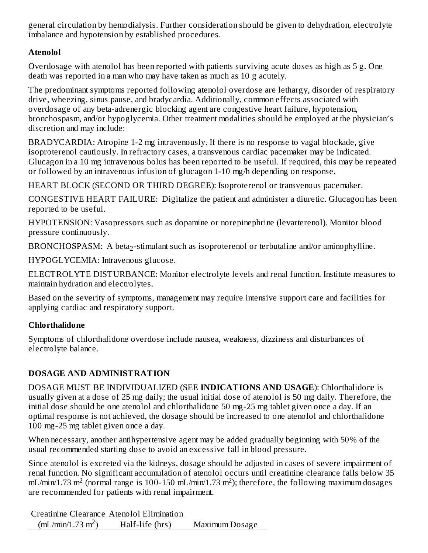general circulation by hemodialysis. Further consideration should be given to dehydration, electrolyte imbalance and hypotension by established procedures.

# **Atenolol**

Overdosage with atenolol has been reported with patients surviving acute doses as high as 5 g. One death was reported in a man who may have taken as much as 10 g acutely.

The predominant symptoms reported following atenolol overdose are lethargy, disorder of respiratory drive, wheezing, sinus pause, and bradycardia. Additionally, common effects associated with overdosage of any beta-adrenergic blocking agent are congestive heart failure, hypotension, bronchospasm, and/or hypoglycemia. Other treatment modalities should be employed at the physician's discretion and may include:

BRADYCARDIA: Atropine 1-2 mg intravenously. If there is no response to vagal blockade, give isoproterenol cautiously. In refractory cases, a transvenous cardiac pacemaker may be indicated. Glucagon in a 10 mg intravenous bolus has been reported to be useful. If required, this may be repeated or followed by an intravenous infusion of glucagon 1-10 mg/h depending on response.

HEART BLOCK (SECOND OR THIRD DEGREE): Isoproterenol or transvenous pacemaker.

CONGESTIVE HEART FAILURE: Digitalize the patient and administer a diuretic. Glucagon has been reported to be useful.

HYPOTENSION: Vasopressors such as dopamine or norepinephrine (levarterenol). Monitor blood pressure continuously.

BRONCHOSPASM: A beta<sub>2</sub>-stimulant such as isoproterenol or terbutaline and/or aminophylline.

HYPOGLYCEMIA: Intravenous glucose.

ELECTROLYTE DISTURBANCE: Monitor electrolyte levels and renal function. Institute measures to maintain hydration and electrolytes.

Based on the severity of symptoms, management may require intensive support care and facilities for applying cardiac and respiratory support.

# **Chlorthalidone**

Symptoms of chlorthalidone overdose include nausea, weakness, dizziness and disturbances of electrolyte balance.

# **DOSAGE AND ADMINISTRATION**

DOSAGE MUST BE INDIVIDUALIZED (SEE **INDICATIONS AND USAGE**): Chlorthalidone is usually given at a dose of 25 mg daily; the usual initial dose of atenolol is 50 mg daily. Therefore, the initial dose should be one atenolol and chlorthalidone 50 mg-25 mg tablet given once a day. If an optimal response is not achieved, the dosage should be increased to one atenolol and chlorthalidone 100 mg-25 mg tablet given once a day.

When necessary, another antihypertensive agent may be added gradually beginning with 50% of the usual recommended starting dose to avoid an excessive fall in blood pressure.

Since atenolol is excreted via the kidneys, dosage should be adjusted in cases of severe impairment of renal function. No significant accumulation of atenolol occurs until creatinine clearance falls below 35  $mL/min/1.73 m<sup>2</sup>$  (normal range is 100-150 mL/min/1.73 m<sup>2</sup>); therefore, the following maximum dosages are recommended for patients with renal impairment.

Creatinine Clearance Atenolol Elimination Half-life (hrs) Maximum Dosage  $(mL/min/1.73 m<sup>2</sup>)$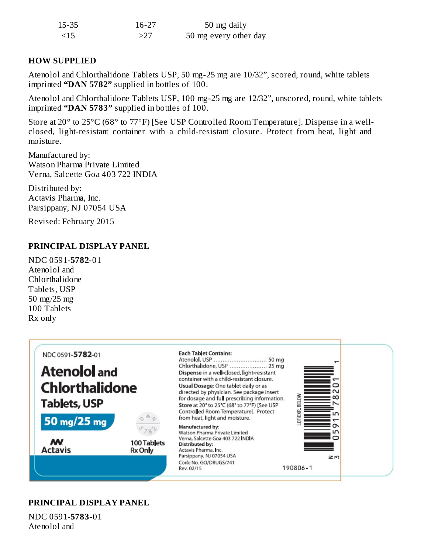| $15 - 35$ | $16 - 27$ | 50 mg daily           |
|-----------|-----------|-----------------------|
| $\leq$ 15 | >27       | 50 mg every other day |

#### **HOW SUPPLIED**

Atenolol and Chlorthalidone Tablets USP, 50 mg-25 mg are 10/32", scored, round, white tablets imprinted **"DAN 5782"** supplied in bottles of 100.

Atenolol and Chlorthalidone Tablets USP, 100 mg-25 mg are 12/32", unscored, round, white tablets imprinted **"DAN 5783"** supplied in bottles of 100.

Store at 20° to 25°C (68° to 77°F) [See USP Controlled Room Temperature]. Dispense in a wellclosed, light-resistant container with a child-resistant closure. Protect from heat, light and moisture.

Manufactured by: Watson Pharma Private Limited Verna, Salcette Goa 403 722 INDIA

Distributed by: Actavis Pharma, Inc. Parsippany, NJ 07054 USA

Revised: February 2015

#### **PRINCIPAL DISPLAY PANEL**

NDC 0591-**5782**-01 Atenolol and Chlorthalidone Tablets, USP 50 mg/25 mg 100 Tablets Rx only



#### **PRINCIPAL DISPLAY PANEL**

NDC 0591-**5783**-01 Atenolol and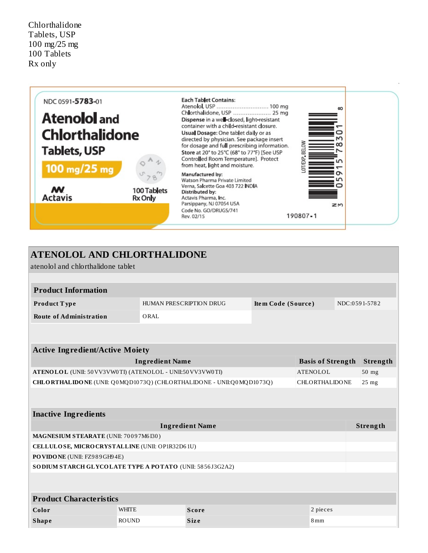Chlorthalidone Tablets, USP 100 mg/25 mg 100 Tablets Rx only



# **ATENOLOL AND CHLORTHALIDONE**

atenolol and chlorthalidone tablet

| <b>Product Information</b>     |                         |                    |               |  |  |  |
|--------------------------------|-------------------------|--------------------|---------------|--|--|--|
| <b>Product Type</b>            | HUMAN PRESCRIPTION DRUG | Item Code (Source) | NDC:0591-5782 |  |  |  |
| <b>Route of Administration</b> | ORAL                    |                    |               |  |  |  |

| <b>Active Ingredient/Active Moiety</b>                                |                        |                                                                      |                          |                 |  |  |
|-----------------------------------------------------------------------|------------------------|----------------------------------------------------------------------|--------------------------|-----------------|--|--|
|                                                                       | <b>Ingredient Name</b> |                                                                      | <b>Basis of Strength</b> | <b>Strength</b> |  |  |
| <b>ATENOLOL</b> (UNII: 50 VV3 VW0 TI) (ATENOLOL - UNII:50 VV3 VW0 TI) |                        |                                                                      | $50$ mg                  |                 |  |  |
|                                                                       |                        | CHLORTHALIDONE (UNII: Q0MQD1073Q) (CHLORTHALIDONE - UNII:Q0MQD1073Q) | CHLORTHALIDONE           | $25 \text{ mg}$ |  |  |
|                                                                       |                        |                                                                      |                          |                 |  |  |
|                                                                       |                        |                                                                      |                          |                 |  |  |
| <b>Inactive Ingredients</b>                                           |                        |                                                                      |                          |                 |  |  |
| <b>Ingredient Name</b><br>Strength                                    |                        |                                                                      |                          |                 |  |  |
| MAGNESIUM STEARATE (UNII: 70097M6I30)                                 |                        |                                                                      |                          |                 |  |  |
| CELLULOSE, MICRO CRYSTALLINE (UNII: OP1R32D61U)                       |                        |                                                                      |                          |                 |  |  |
| <b>PO VIDO NE (UNII: FZ989GH94E)</b>                                  |                        |                                                                      |                          |                 |  |  |
| SO DIUM STARCH GLYCOLATE TYPE A POTATO (UNII: 5856J3G2A2)             |                        |                                                                      |                          |                 |  |  |
|                                                                       |                        |                                                                      |                          |                 |  |  |
|                                                                       |                        |                                                                      |                          |                 |  |  |
| <b>Product Characteristics</b>                                        |                        |                                                                      |                          |                 |  |  |
| Color                                                                 | <b>WHITE</b>           | <b>Score</b>                                                         | 2 pieces                 |                 |  |  |
| <b>Shape</b>                                                          | <b>ROUND</b>           | <b>Size</b>                                                          | 8 <sub>mm</sub>          |                 |  |  |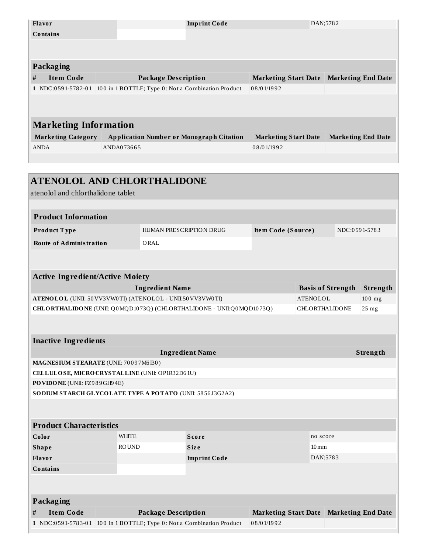|                              | <b>Flavor</b>             | <b>Imprint Code</b>                                |  |                             | DAN;5782                  |  |
|------------------------------|---------------------------|----------------------------------------------------|--|-----------------------------|---------------------------|--|
|                              | Contains                  |                                                    |  |                             |                           |  |
|                              |                           |                                                    |  |                             |                           |  |
|                              |                           |                                                    |  |                             |                           |  |
|                              | Packaging                 |                                                    |  |                             |                           |  |
| #                            | <b>Item Code</b>          | Package Description                                |  | <b>Marketing Start Date</b> | <b>Marketing End Date</b> |  |
|                              | $1 NDC:0591-5782-01$      | 100 in 1 BOTTLE; Type 0: Not a Combination Product |  | 08/01/1992                  |                           |  |
|                              |                           |                                                    |  |                             |                           |  |
|                              |                           |                                                    |  |                             |                           |  |
|                              |                           |                                                    |  |                             |                           |  |
| <b>Marketing Information</b> |                           |                                                    |  |                             |                           |  |
|                              | <b>Marketing Category</b> | <b>Application Number or Monograph Citation</b>    |  | <b>Marketing Start Date</b> | <b>Marketing End Date</b> |  |
|                              | <b>ANDA</b>               | ANDA073665                                         |  | 08/01/1992                  |                           |  |
|                              |                           |                                                    |  |                             |                           |  |

| <b>ATENOLOL AND CHLORTHALIDONE</b>                                           |                        |                         |                                                       |                          |  |               |  |
|------------------------------------------------------------------------------|------------------------|-------------------------|-------------------------------------------------------|--------------------------|--|---------------|--|
| atenolol and chlorthalidone tablet                                           |                        |                         |                                                       |                          |  |               |  |
|                                                                              |                        |                         |                                                       |                          |  |               |  |
| <b>Product Information</b>                                                   |                        |                         |                                                       |                          |  |               |  |
| Product Type                                                                 |                        | HUMAN PRESCRIPTION DRUG | Item Code (Source)                                    |                          |  | NDC:0591-5783 |  |
| <b>Route of Administration</b>                                               | ORAL                   |                         |                                                       |                          |  |               |  |
|                                                                              |                        |                         |                                                       |                          |  |               |  |
| <b>Active Ingredient/Active Moiety</b>                                       |                        |                         |                                                       |                          |  |               |  |
|                                                                              | <b>Ingredient Name</b> |                         |                                                       | <b>Basis of Strength</b> |  | Strength      |  |
| ATENOLOL (UNII: 50 VV3 VW0 TI) (ATENOLOL - UNII:50 VV3 VW0 TI)               |                        |                         |                                                       | <b>ATENOLOL</b>          |  | 100 mg        |  |
| CHLORTHALIDONE (UNII: Q0MQD1073Q) (CHLORTHALIDONE - UNII:Q0MQD1073Q)         |                        |                         |                                                       | CHLORTHALIDONE           |  | $25$ mg       |  |
|                                                                              |                        |                         |                                                       |                          |  |               |  |
| <b>Inactive Ingredients</b>                                                  |                        |                         |                                                       |                          |  |               |  |
|                                                                              |                        | <b>Ingredient Name</b>  |                                                       |                          |  | Strength      |  |
| MAGNESIUM STEARATE (UNII: 70097M6130)                                        |                        |                         |                                                       |                          |  |               |  |
| CELLULOSE, MICRO CRYSTALLINE (UNII: OP1R32D61U)                              |                        |                         |                                                       |                          |  |               |  |
| PO VIDO NE (UNII: FZ989GH94E)                                                |                        |                         |                                                       |                          |  |               |  |
| SO DIUM STARCH GLYCOLATE TYPE A POTATO (UNII: 5856J3G2A2)                    |                        |                         |                                                       |                          |  |               |  |
|                                                                              |                        |                         |                                                       |                          |  |               |  |
| <b>Product Characteristics</b>                                               |                        |                         |                                                       |                          |  |               |  |
| Color                                                                        | <b>WHITE</b>           | <b>Score</b>            |                                                       | no score                 |  |               |  |
| <b>Shape</b>                                                                 | <b>ROUND</b>           | <b>Size</b>             |                                                       | $10 \,\mathrm{mm}$       |  |               |  |
| Flavor                                                                       |                        | <b>Imprint Code</b>     |                                                       | DAN;5783                 |  |               |  |
| <b>Contains</b>                                                              |                        |                         |                                                       |                          |  |               |  |
|                                                                              |                        |                         |                                                       |                          |  |               |  |
|                                                                              |                        |                         |                                                       |                          |  |               |  |
| <b>Packaging</b><br><b>Item Code</b>                                         |                        |                         |                                                       |                          |  |               |  |
| #<br>$1$ NDC:0591-5783-01 100 in 1 BOTTLE; Type 0: Not a Combination Product | Package Description    |                         | Marketing Start Date Marketing End Date<br>08/01/1992 |                          |  |               |  |
|                                                                              |                        |                         |                                                       |                          |  |               |  |